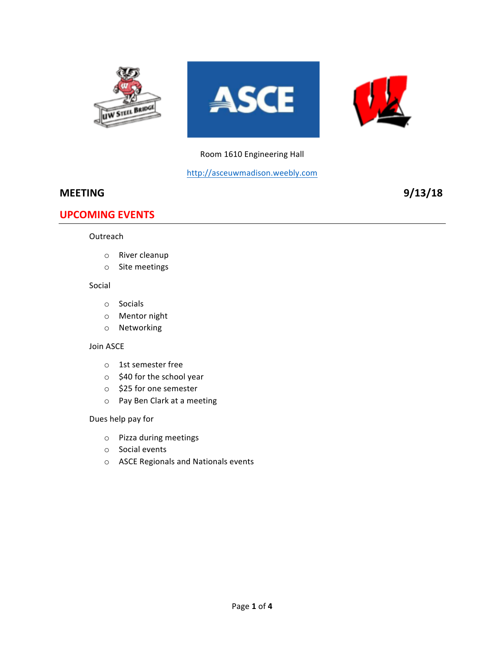

### Room 1610 Engineering Hall

http://asceuwmadison.weebly.com

### **MEETING** 9/13/18

### **UPCOMING EVENTS**

#### Outreach

- o River cleanup
- $\circ$  Site meetings

#### Social

- o Socials
- o Mentor night
- o Networking

#### Join ASCE

- $\circ$  1st semester free
- $\circ$  \$40 for the school year
- o \$25 for one semester
- o Pay Ben Clark at a meeting

#### Dues help pay for

- o Pizza during meetings
- $\circ$  Social events
- o ASCE Regionals and Nationals events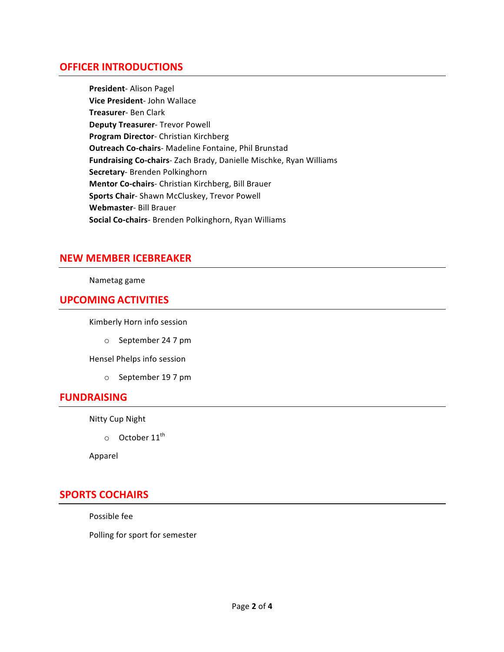### **OFFICER INTRODUCTIONS**

**President**- Alison Pagel **Vice President- John Wallace Treasurer**- Ben Clark **Deputy Treasurer- Trevor Powell Program Director-** Christian Kirchberg **Outreach Co-chairs-** Madeline Fontaine, Phil Brunstad **Fundraising Co-chairs-** Zach Brady, Danielle Mischke, Ryan Williams **Secretary-** Brenden Polkinghorn **Mentor Co-chairs**- Christian Kirchberg, Bill Brauer **Sports Chair-** Shawn McCluskey, Trevor Powell Webmaster- Bill Brauer **Social Co-chairs**- Brenden Polkinghorn, Ryan Williams

## **NEW MEMBER ICEBREAKER**

#### Nametag game

### **UPCOMING ACTIVITIES**

Kimberly Horn info session

o September 24 7 pm

Hensel Phelps info session

o September 19 7 pm

### **FUNDRAISING**

**Nitty Cup Night** 

 $\circ$  October 11<sup>th</sup>

Apparel

# **SPORTS COCHAIRS**

Possible fee

Polling for sport for semester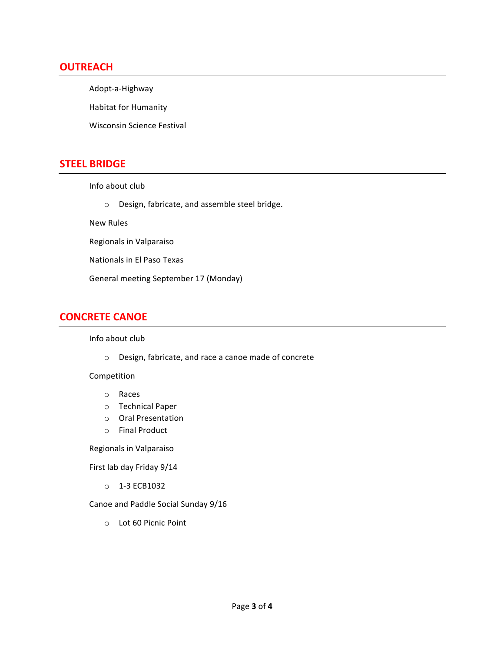### **OUTREACH**

Adopt-a-Highway

Habitat for Humanity

Wisconsin Science Festival

## **STEEL BRIDGE**

Info about club

o Design, fabricate, and assemble steel bridge.

New Rules

Regionals in Valparaiso

Nationals in El Paso Texas

General meeting September 17 (Monday)

# **CONCRETE CANOE**

#### Info about club

o Design, fabricate, and race a canoe made of concrete

#### Competition

- o Races
- o Technical Paper
- o Oral Presentation
- o Final Product

Regionals in Valparaiso

First lab day Friday 9/14

o 1-3 ECB1032

Canoe and Paddle Social Sunday 9/16

o Lot 60 Picnic Point